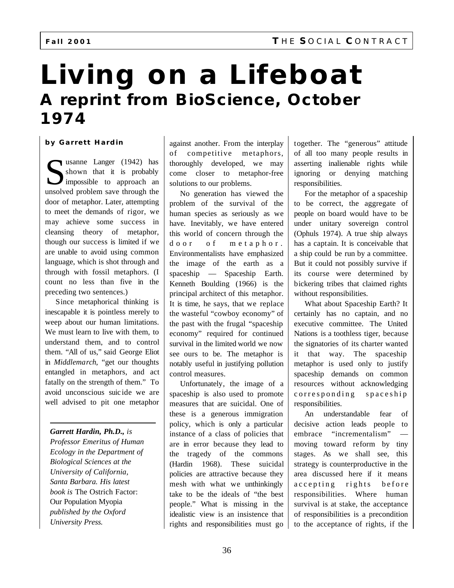# **Living on a Lifeboat** *A reprint from* **BioScience***, October 1974*

### **by Garrett Hardin**

Susanne Langer (1942) has<br>
shown that it is probably<br>
impossible to approach an usanne Langer (1942) has shown that it is probably unsolved problem save through the door of metaphor. Later, attempting to meet the demands of rigor, we may achieve some success in cleansing theory of metaphor, though our success is limited if we are unable to avoid using common language, which is shot through and through with fossil metaphors. (I count no less than five in the preceding two sentences.)

Since metaphorical thinking is inescapable it is pointless merely to weep about our human limitations. We must learn to live with them, to understand them, and to control them. "All of us," said George Eliot in *Middlemarch*, "get our thoughts entangled in metaphors, and act fatally on the strength of them." To avoid unconscious suic ide we are well advised to pit one metaphor

### *Garrett Hardin, Ph.D., is*

*Professor Emeritus of Human Ecology in the Department of Biological Sciences at the University of California, Santa Barbara. His latest book is* The Ostrich Factor: Our Population Myopia *published by the Oxford University Press.*

against another. From the interplay of competitive metaphors, thoroughly developed, we may come closer to metaphor-free solutions to our problems.

No generation has viewed the problem of the survival of the human species as seriously as we have. Inevitably, we have entered this world of concern through the door of metaphor. Environmentalists have emphasized the image of the earth as a spaceship — Spaceship Earth. Kenneth Boulding (1966) is the principal architect of this metaphor. It is time, he says, that we replace the wasteful "cowboy economy" of the past with the frugal "spaceship economy" required for continued survival in the limited world we now see ours to be. The metaphor is notably useful in justifying pollution control measures.

Unfortunately, the image of a spaceship is also used to promote measures that are suicidal. One of these is a generous immigration policy, which is only a particular instance of a class of policies that are in error because they lead to the tragedy of the commons (Hardin 1968). These suicidal policies are attractive because they mesh with what we unthinkingly take to be the ideals of "the best people." What is missing in the idealistic view is an insistence that rights and responsibilities must go together. The "generous" attitude of all too many people results in asserting inalienable rights while ignoring or denying matching responsibilities.

For the metaphor of a spaceship to be correct, the aggregate of people on board would have to be under unitary sovereign control (Ophuls 1974). A true ship always has a captain. It is conceivable that a ship could be run by a committee. But it could not possibly survive if its course were determined by bickering tribes that claimed rights without responsibilities.

What about Spaceship Earth? It certainly has no captain, and no executive committee. The United Nations is a toothless tiger, because the signatories of its charter wanted it that way. The spaceship metaphor is used only to justify spaceship demands on common resources without acknowledging corresponding spaceship responsibilities.

An understandable fear of decisive action leads people to embrace "incrementalism" moving toward reform by tiny stages. As we shall see, this strategy is counterproductive in the area discussed here if it means accepting rights before responsibilities. Where human survival is at stake, the acceptance of responsibilities is a precondition to the acceptance of rights, if the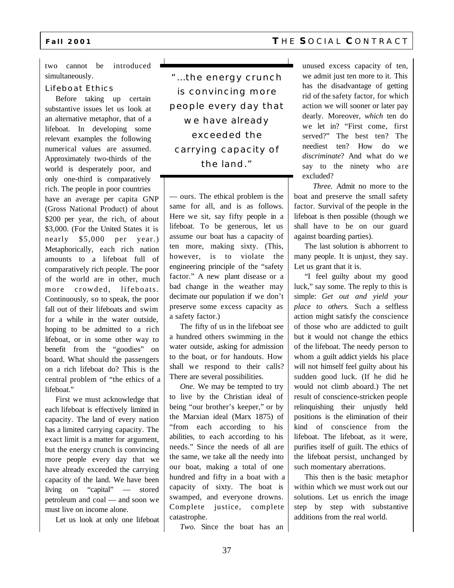two cannot be introduced simultaneously.

### Lifeboat Ethics

Before taking up certain substantive issues let us look at an alternative metaphor, that of a lifeboat. In developing some relevant examples the following numerical values are assumed. Approximately two-thirds of the world is desperately poor, and only one-third is comparatively rich. The people in poor countries have an average per capita GNP (Gross National Product) of about \$200 per year, the rich, of about \$3,000. (For the United States it is nearly \$5,000 per year.) Metaphorically, each rich nation amounts to a lifeboat full of comparatively rich people. The poor of the world are in other, much more crowded, lifeboats. Continuously, so to speak, the poor fall out of their lifeboats and swim for a while in the water outside, hoping to be admitted to a rich lifeboat, or in some other way to benefit from the "goodies" on board. What should the passengers on a rich lifeboat do? This is the central problem of "the ethics of a lifeboat."

First we must acknowledge that each lifeboat is effectively limited in capacity. The land of every nation has a limited carrying capacity. The exact limit is a matter for argument, but the energy crunch is convincing more people every day that we have already exceeded the carrying capacity of the land. We have been living on "capital" — stored petroleum and coal — and soon we must live on income alone.

Let us look at only one lifeboat

*"…the energy crunch is convincing more people every day that we have already exceeded the carrying capacity of the land."*

— ours. The ethical problem is the same for all, and is as follows. Here we sit, say fifty people in a lifeboat. To be generous, let us assume our boat has a capacity of ten more, making sixty. (This, however, is to violate the engineering principle of the "safety factor." A new plant disease or a bad change in the weather may decimate our population if we don't preserve some excess capacity as a safety factor.)

The fifty of us in the lifeboat see a hundred others swimming in the water outside, asking for admission to the boat, or for handouts. How shall we respond to their calls? There are several possibilities.

*One*. We may be tempted to try to live by the Christian ideal of being "our brother's keeper," or by the Marxian ideal (Marx 1875) of "from each according to his abilities, to each according to his needs." Since the needs of all are the same, we take all the needy into our boat, making a total of one hundred and fifty in a boat with a capacity of sixty. The boat is swamped, and everyone drowns. Complete justice, complete catastrophe.

*Two.* Since the boat has an

### **Fall 2001 T** HE **S** OCIAL **C** ONTRACT

unused excess capacity of ten, we admit just ten more to it. This has the disadvantage of getting rid of the safety factor, for which action we will sooner or later pay dearly. Moreover, *which* ten do we let in? "First come, first served?" The best ten? The neediest ten? How do we *discriminate*? And what do we say to the ninety who are excluded?

*Three*. Admit no more to the boat and preserve the small safety factor. Survival of the people in the lifeboat is then possible (though we shall have to be on our guard against boarding parties).

The last solution is abhorrent to many people. It is unjust, they say. Let us grant that it is.

"I feel guilty about my good luck," say some. The reply to this is simple: *Get out and yield your place to others.* Such a selfless action might satisfy the conscience of those who are addicted to guilt but it would not change the ethics of the lifeboat. The needy person to whom a guilt addict yields his place will not himself feel guilty about his sudden good luck. (If he did he would not climb aboard.) The net result of conscience-stricken people relinquishing their unjustly held positions is the elimination of their kind of conscience from the lifeboat. The lifeboat, as it were, purifies itself of guilt. The ethics of the lifeboat persist, unchanged by such momentary aberrations.

This then is the basic metaphor within which we must work out our solutions. Let us enrich the image step by step with substantive additions from the real world.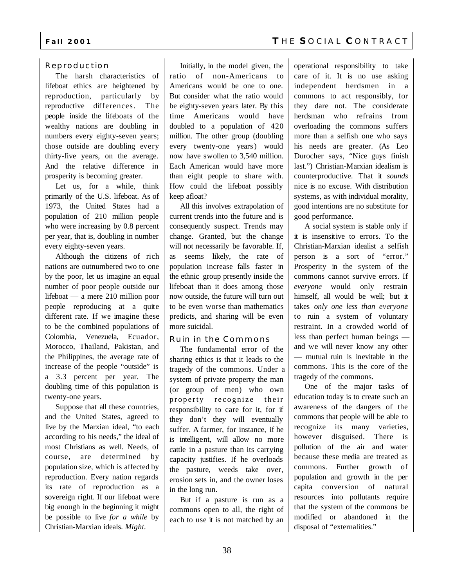### Reproduction

The harsh characteristics of lifeboat ethics are heightened by reproduction, particularly by reproductive differences. The people inside the lifeboats of the wealthy nations are doubling in numbers every eighty-seven years; those outside are doubling every thirty-five years, on the average. And the relative difference in prosperity is becoming greater.

Let us, for a while, think primarily of the U.S. lifeboat. As of 1973, the United States had a population of 210 million people who were increasing by 0.8 percent per year, that is, doubling in number every eighty-seven years.

Although the citizens of rich nations are outnumbered two to one by the poor, let us imagine an equal number of poor people outside our lifeboat — a mere 210 million poor people reproducing at a quite different rate. If we imagine these to be the combined populations of Colombia, Venezuela, Ecuador, Morocco, Thailand, Pakistan, and the Philippines, the average rate of increase of the people "outside" is a 3.3 percent per year. The doubling time of this population is twenty-one years.

Suppose that all these countries, and the United States, agreed to live by the Marxian ideal, "to each according to his needs," the ideal of most Christians as well. Needs, of course, are determined by population size, which is affected by reproduction. Every nation regards its rate of reproduction as a sovereign right. If our lifeboat were big enough in the beginning it might be possible to live *for a while* by Christian-Marxian ideals. *Might.*

Initially, in the model given, the ratio of non-Americans to Americans would be one to one. But consider what the ratio would be eighty-seven years later. By this time Americans would have doubled to a population of 420 million. The other group (doubling every twenty-one years) would now have swollen to 3,540 million. Each American would have more than eight people to share with. How could the lifeboat possibly keep afloat?

All this involves extrapolation of current trends into the future and is consequently suspect. Trends may change. Granted, but the change will not necessarily be favorable. If, as seems likely, the rate of population increase falls faster in the ethnic group presently inside the lifeboat than it does among those now outside, the future will turn out to be even worse than mathematics predicts, and sharing will be even more suicidal.

### Ruin in the Commons

The fundamental error of the sharing ethics is that it leads to the tragedy of the commons. Under a system of private property the man (or group of men) who own property recognize their responsibility to care for it, for if they don't they will eventually suffer. A farmer, for instance, if he is intelligent, will allow no more cattle in a pasture than its carrying capacity justifies. If he overloads the pasture, weeds take over, erosion sets in, and the owner loses in the long run.

But if a pasture is run as a commons open to all, the right of each to use it is not matched by an

**Fall 2001 T** HE **S** OCIAL **C** ONTRACT

operational responsibility to take care of it. It is no use asking independent herdsmen in a commons to act responsibly, for they dare not. The considerate herdsman who refrains from overloading the commons suffers more than a selfish one who says his needs are greater. (As Leo Durocher says, "Nice guys finish last.") Christian-Marxian idealism is counterproductive. That it *sounds* nice is no excuse. With distribution systems, as with individual morality, good intentions are no substitute for good performance.

A social system is stable only if it is insensitive to errors. To the Christian-Marxian idealist a selfish person is a sort of "error." Prosperity in the system of the commons cannot survive errors. If *everyone* would only restrain himself, all would be well; but it takes *only one less than everyone* to ruin a system of voluntary restraint. In a crowded world of less than perfect human beings and we will never know any other — mutual ruin is inevitable in the commons. This is the core of the tragedy of the commons.

One of the major tasks of education today is to create such an awareness of the dangers of the commons that people will be able to recognize its many varieties, however disguised. There is pollution of the air and water because these media are treated as commons. Further growth of population and growth in the per capita conversion of natural resources into pollutants require that the system of the commons be modified or abandoned in the disposal of "externalities."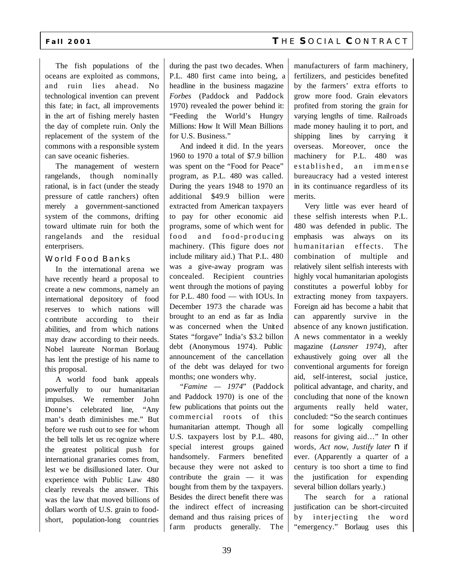The fish populations of the oceans are exploited as commons, and ruin lies ahead. No technological invention can prevent this fate; in fact, all improvements in the art of fishing merely hasten the day of complete ruin. Only the replacement of the system of the commons with a responsible system can save oceanic fisheries.

The management of western rangelands, though nominally rational, is in fact (under the steady pressure of cattle ranchers) often merely a government-sanctioned system of the commons, drifting toward ultimate ruin for both the rangelands and the residual enterprisers.

### World Food Banks

In the international arena we have recently heard a proposal to create a new commons, namely an international depository of food reserves to which nations will c ontribute according to their abilities, and from which nations may draw according to their needs. Nobel laureate Norman Borlaug has lent the prestige of his name to this proposal.

A world food bank appeals powerfully to our humanitarian impulses. We remember John Donne's celebrated line, "Any man's death diminishes me." But before we rush out to see for whom the bell tolls let us rec ognize where the greatest political push for international granaries comes from, lest we be disillusioned later. Our experience with Public Law 480 clearly reveals the answer. This was the law that moved billions of dollars worth of U.S. grain to foodshort, population-long countries

during the past two decades. When P.L. 480 first came into being, a headline in the business magazine *Forbes* (Paddock and Paddock 1970) revealed the power behind it: "Feeding the World's Hungry Millions: How It Will Mean Billions for U.S. Business."

And indeed it did. In the years 1960 to 1970 a total of \$7.9 billion was spent on the "Food for Peace" program, as P.L. 480 was called. During the years 1948 to 1970 an additional \$49.9 billion were extracted from American taxpayers to pay for other economic aid programs, some of which went for food and food-producing machinery. (This figure does *not* include military aid.) That P.L. 480 was a give-away program was concealed. Recipient countries went through the motions of paying for P.L. 480 food — with IOUs. In December 1973 the charade was brought to an end as far as India was concerned when the United States "forgave" India's \$3.2 billon debt (Anonymous 1974). Public announcement of the cancellation of the debt was delayed for two months; one wonders why.

"*Famine — 1974*" (Paddock and Paddock 1970) is one of the few publications that points out the commercial roots of this humanitarian attempt. Though all U.S. taxpayers lost by P.L. 480, special interest groups gained handsomely. Farmers benefited because they were not asked to contribute the grain — it was bought from them by the taxpayers. Besides the direct benefit there was the indirect effect of increasing demand and thus raising prices of farm products generally. The

manufacturers of farm machinery, fertilizers, and pesticides benefited by the farmers' extra efforts to grow more food. Grain elevators profited from storing the grain for varying lengths of time. Railroads made money hauling it to port, and shipping lines by carrying it overseas. Moreover, once the machinery for P.L. 480 was established, an immense bureaucracy had a vested interest in its continuance regardless of its merits.

Very little was ever heard of these selfish interests when P.L. 480 was defended in public. The emphasis was always on its humanitarian effects. The combination of multiple and relatively silent selfish interests with highly vocal humanitarian apologists constitutes a powerful lobby for extracting money from taxpayers. Foreign aid has become a habit that can apparently survive in the absence of any known justification. A news commentator in a weekly magazine (*Lansner 1974*), after exhaustively going over all the conventional arguments for foreign aid, self-interest, social justice, political advantage, and charity, and concluding that none of the known arguments really held water, concluded: "So the search continues for some logically compelling reasons for giving aid…" In other words, *Act now, Justify later* n if ever. (Apparently a quarter of a century is too short a time to find the justification for expending several billion dollars yearly.)

The search for a rational justification can be short-circuited by interjecting the word "emergency." Borlaug uses this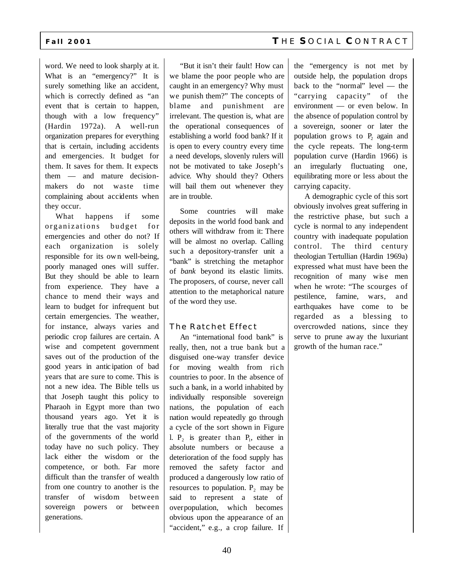word. We need to look sharply at it. What is an "emergency?" It is surely something like an accident, which is correctly defined as "an event that is certain to happen, though with a low frequency" (Hardin 1972a). A well-run organization prepares for everything that is certain, including accidents and emergencies. It budget for them. It saves for them. It expects them — and mature decisionmakers do not waste time complaining about accidents when they occur.

What happens if some organizations budget for emergencies and other do not? If each organization is solely responsible for its own well-being, poorly managed ones will suffer. But they should be able to learn from experience. They have a chance to mend their ways and learn to budget for infrequent but certain emergencies. The weather, for instance, always varies and periodic crop failures are certain. A wise and competent government saves out of the production of the good years in antic ipation of bad years that are sure to come. This is not a new idea. The Bible tells us that Joseph taught this policy to Pharaoh in Egypt more than two thousand years ago. Yet it is literally true that the vast majority of the governments of the world today have no such policy. They lack either the wisdom or the competence, or both. Far more difficult than the transfer of wealth from one country to another is the transfer of wisdom between sovereign powers or between generations.

"But it isn't their fault! How can we blame the poor people who are caught in an emergency? Why must we punish them?" The concepts of blame and punishment are irrelevant. The question is, what are the operational consequences of establishing a world food bank? If it is open to every country every time a need develops, slovenly rulers will not be motivated to take Joseph's advice. Why should they? Others will bail them out whenever they are in trouble.

Some countries will make deposits in the world food bank and others will withdraw from it: There will be almost no overlap. Calling suc h a depository-transfer unit a "bank" is stretching the metaphor of *bank* beyond its elastic limits. The proposers, of course, never call attention to the metaphorical nature of the word they use.

### The Ratchet Effect

An "international food bank" is really, then, not a true bank but a disguised one-way transfer device for moving wealth from rich countries to poor. In the absence of such a bank, in a world inhabited by individually responsible sovereign nations, the population of each nation would repeatedly go through a cycle of the sort shown in Figure 1.  $P_2$  is greater than  $P_1$ , either in absolute numbers or because a deterioration of the food supply has removed the safety factor and produced a dangerously low ratio of resources to population.  $P_2$  may be said to represent a state of overpopulation, which becomes obvious upon the appearance of an "accident," e.g., a crop failure. If

**Fall 2001 T** HE **S** OCIAL **C** ONTRACT

the "emergency is not met by outside help, the population drops back to the "normal" level — the "carrying capacity" of the environment — or even below. In the absence of population control by a sovereign, sooner or later the population grows to  $P_2$  again and the cycle repeats. The long-term population curve (Hardin 1966) is an irregularly fluctuating one, equilibrating more or less about the carrying capacity.

A demographic cycle of this sort obviously involves great suffering in the restrictive phase, but such a cycle is normal to any independent country with inadequate population control. The third century theologian Tertullian (Hardin 1969a) expressed what must have been the recognition of many wise men when he wrote: "The scourges of pestilence, famine, wars, and earthquakes have come to be regarded as a blessing to overcrowded nations, since they serve to prune away the luxuriant growth of the human race."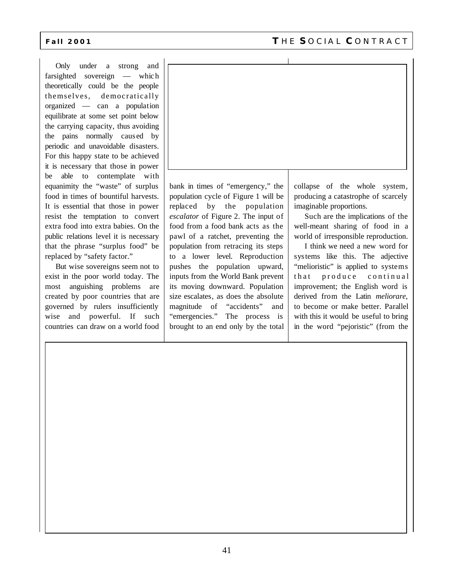Only under a strong and farsighted sovereign — whic h theoretically could be the people themselves, democratically organized — can a population equilibrate at some set point below the carrying capacity, thus avoiding the pains normally caused by periodic and unavoidable disasters. For this happy state to be achieved it is necessary that those in power be able to contemplate with equanimity the "waste" of surplus food in times of bountiful harvests. It is essential that those in power resist the temptation to convert extra food into extra babies. On the public relations level it is necessary that the phrase "surplus food" be replaced by "safety factor."

But wise sovereigns seem not to exist in the poor world today. The most anguishing problems are created by poor countries that are governed by rulers insufficiently wise and powerful. If such countries can draw on a world food



bank in times of "emergency," the population cycle of Figure 1 will be replaced by the population *escalator* of Figure 2. The input of food from a food bank acts as the pawl of a ratchet, preventing the population from retracing its steps to a lower level. Reproduction pushes the population upward, inputs from the World Bank prevent its moving downward. Population size escalates, as does the absolute magnitude of "accidents" and "emergencies." The process is brought to an end only by the total collapse of the whole system, producing a catastrophe of scarcely imaginable proportions.

Such are the implications of the well-meant sharing of food in a world of irresponsible reproduction.

I think we need a new word for systems like this. The adjective "melioristic" is applied to systems that produce continual improvement; the English word is derived from the Latin *meliorare*, to become or make better. Parallel with this it would be useful to bring in the word "pejoristic" (from the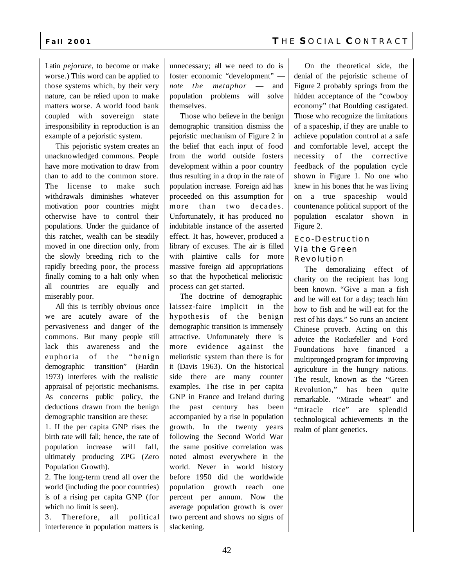Latin *pejorare*, to become or make worse.) This word can be applied to those systems which, by their very nature, can be relied upon to make matters worse. A world food bank coupled with sovereign state irresponsibility in reproduction is an example of a pejoristic system.

This pejoristic system creates an unacknowledged commons. People have more motivation to draw from than to add to the common store. The license to make such withdrawals diminishes whatever motivation poor countries might otherwise have to control their populations. Under the guidance of this ratchet, wealth can be steadily moved in one direction only, from the slowly breeding rich to the rapidly breeding poor, the process finally coming to a halt only when all countries are equally and miserably poor.

All this is terribly obvious once we are acutely aware of the pervasiveness and danger of the commons. But many people still lack this awareness and the euphoria of the "benign demographic transition" (Hardin 1973) interferes with the realistic appraisal of pejoristic mechanisms. As concerns public policy, the deductions drawn from the benign demographic transition are these:

1. If the per capita GNP rises the birth rate will fall; hence, the rate of population increase will fall, ultimately producing ZPG (Zero Population Growth).

2. The long-term trend all over the world (including the poor countries) is of a rising per capita GNP (for which no limit is seen).

3. Therefore, all political interference in population matters is unnecessary; all we need to do is foster economic "development" *note the metaphor* — and population problems will solve themselves.

Those who believe in the benign demographic transition dismiss the pejoristic mechanism of Figure 2 in the belief that each input of food from the world outside fosters development within a poor country thus resulting in a drop in the rate of population increase. Foreign aid has proceeded on this assumption for more than two decades. Unfortunately, it has produced no indubitable instance of the asserted effect. It has, however, produced a library of excuses. The air is filled with plaintive calls for more massive foreign aid appropriations so that the hypothetical melioristic process can get started.

The doctrine of demographic laissez-faire implicit in the hypothesis of the benign demographic transition is immensely attractive. Unfortunately there is more evidence against the melioristic system than there is for it (Davis 1963). On the historical side there are many counter examples. The rise in per capita GNP in France and Ireland during the past century has been accompanied by a rise in population growth. In the twenty years following the Second World War the same positive correlation was noted almost everywhere in the world. Never in world history before 1950 did the worldwide population growth reach one percent per annum. Now the average population growth is over two percent and shows no signs of slackening.

On the theoretical side, the denial of the pejoristic scheme of Figure 2 probably springs from the hidden acceptance of the "cowboy economy" that Boulding castigated. Those who recognize the limitations of a spaceship, if they are unable to achieve population control at a safe and comfortable level, accept the necessity of the corrective feedback of the population cycle shown in Figure 1. No one who knew in his bones that he was living on a true spaceship would countenance political support of the population escalator shown in Figure 2.

### Eco-Destruction Via the Green Revolution

The demoralizing effect of charity on the recipient has long been known. "Give a man a fish and he will eat for a day; teach him how to fish and he will eat for the rest of his days." So runs an ancient Chinese proverb. Acting on this advice the Rockefeller and Ford Foundations have financed a multipronged program for improving agriculture in the hungry nations. The result, known as the "Green Revolution," has been quite remarkable. "Miracle wheat" and "miracle rice" are splendid technological achievements in the realm of plant genetics.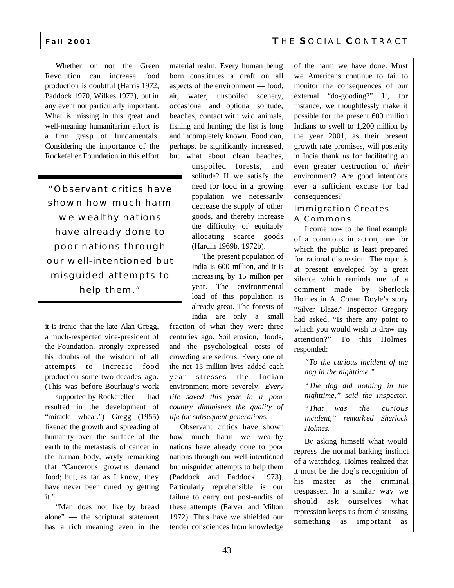Whether or not the Green Revolution can increase food production is doubtful (Harris 1972, Paddock 1970, Wilkes 1972), but in any event not particularly important. What is missing in this great and well-meaning humanitarian effort is a firm grasp of fundamentals. Considering the importance of the Rockefeller Foundation in this effort

*"Observant critics have shown how much harm we wealthy nations have already done to poor nations through our well-intentioned but misguided attempts to help them."*

it is ironic that the late Alan Gregg, a much-respected vice-president of the Foundation, strongly expressed his doubts of the wisdom of all attempts to increase food production some two decades ago. (This was before Bourlaug's work — supported by Rockefeller — had resulted in the development of "miracle wheat.") Gregg (1955) likened the growth and spreading of humanity over the surface of the earth to the metastasis of cancer in the human body, wryly remarking that "Cancerous growths demand food; but, as far as I know, they have never been cured by getting it."

"Man does not live by bread alone" — the scriptural statement has a rich meaning even in the material realm. Every human being born constitutes a draft on all aspects of the environment — food, air, water, unspoiled scenery, occasional and optional solitude, beaches, contact with wild animals, fishing and hunting; the list is long and incompletely known. Food can, perhaps, be significantly increased, but what about clean beaches,

> unspoiled forests, and solitude? If we satisfy the need for food in a growing population we necessarily decrease the supply of other goods, and thereby increase the difficulty of equitably allocating scarce goods (Hardin 1969b, 1972b).

The present population of India is 600 million, and it is increasing by 15 million per year. The environmental load of this population is already great. The forests of India are only a small fraction of what they were three centuries ago. Soil erosion, floods, and the psychological costs of crowding are serious. Every one of the net 15 million lives added each year stresses the Indian environment more severely. *Every life saved this year in a poor country diminishes the quality of life for subsequent generations.*

Observant critics have shown how much harm we wealthy nations have already done to poor nations through our well-intentioned but misguided attempts to help them (Paddock and Paddock 1973). Particularly reprehensible is our failure to carry out post-audits of these attempts (Farvar and Milton 1972). Thus have we shielded our tender consciences from knowledge

**Fall 2001 T** HE **S** OCIAL **C** ONTRACT

of the harm we have done. Must we Americans continue to fail to monitor the consequences of our external "do-gooding?" If, for instance, we thoughtlessly make it possible for the present 600 million Indians to swell to 1,200 million by the year 2001, as their present growth rate promises, will posterity in India thank *us* for facilitating an even greater destruction of *their* environment? Are good intentions ever a sufficient excuse for bad consequences?

### Immigration Creates A Commons

I come now to the final example of a commons in action, one for which the public is least prepared for rational discussion. The topic is at present enveloped by a great silence which reminds me of a comment made by Sherlock Holmes in A. Conan Doyle's story "Silver Blaze." Inspector Gregory had asked, "Is there any point to which you would wish to draw my attention?" To this Holmes responded:

*"To the curious incident of the dog in the nighttime."*

*"The dog did nothing in the nighttime," said the Inspector.*

*"That was the curious incident," remark ed Sherlock Holmes.*

By asking himself what would repress the normal barking instinct of a watchdog, Holmes realized that it must be the dog's recognition of his master as the criminal trespasser. In a similar way we should ask ourselves what repression keeps us from discussing something as important as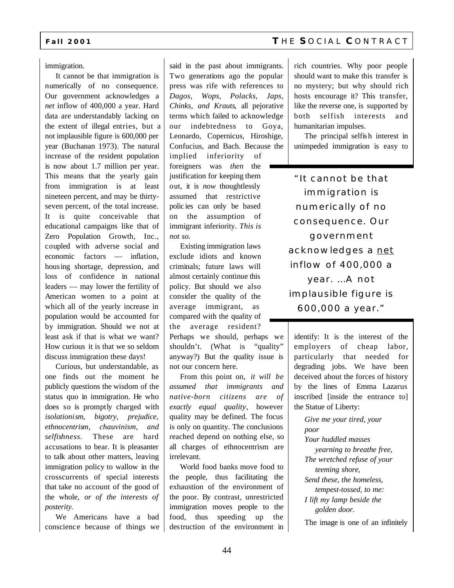immigration.

It cannot be that immigration is numerically of no consequence. Our government acknowledges a *net* inflow of 400,000 a year. Hard data are understandably lacking on the extent of illegal entries, but a not implausible figure is 600,000 per year (Buchanan 1973). The natural increase of the resident population is now about 1.7 million per year. This means that the yearly gain from immigration is at least nineteen percent, and may be thirtyseven percent, of the total increase. It is quite conceivable that educational campaigns like that of Zero Population Growth, Inc., coupled with adverse social and economic factors — inflation, housing shortage, depression, and loss of confidence in national leaders — may lower the fertility of American women to a point at which all of the yearly increase in population would be accounted for by immigration. Should we not at least ask if that is what we want? How curious it is that we so seldom discuss immigration these days!

Curious, but understandable, as one finds out the moment he publicly questions the wisdom of the status quo in immigration. He who does so is promptly charged with *isolationism, bigotry, prejudice, ethnocentrism, chauvinism, and selfishness.* These are hard accusations to bear. It is pleasanter to talk about other matters, leaving immigration policy to wallow in the crosscurrents of special interests that take no account of the good of the whole, *or of the interests of posterity.*

We Americans have a bad conscience because of things we said in the past about immigrants. Two generations ago the popular press was rife with references to *Dagos, Wops, Polacks, Japs, Chinks, and Krauts*, all pejorative terms which failed to acknowledge our indebtedness to Goya, Leonardo, Copernicus, Hiroshige, Confucius, and Bach. Because the implied inferiority of foreigners was *then* the justification for keeping them out, it is *now* thoughtlessly assumed that restrictive polic ies can only be based on the assumption of immigrant inferiority. *This is not so.*

Existing immigration laws exclude idiots and known criminals; future laws will almost certainly continue this policy. But should we also consider the quality of the average immigrant, as compared with the quality of the average resident? Perhaps we should, perhaps we shouldn't. (What is "quality"

anyway?) But the quality issue is not our concern here. From this point on, *it will be*

*assumed that immigrants and native-born citizens are of exactly equal quality,* however quality may be defined. The focus is only on quantity. The conclusions reached depend on nothing else, so all charges of ethnocentrism are irrelevant.

World food banks move food to the people, thus facilitating the exhaustion of the environment of the poor. By contrast, unrestricted immigration moves people to the food, thus speeding up the destruction of the environment in rich countries. Why poor people should want to make this transfer is no mystery; but why should rich hosts encourage it? This transfer, like the reverse one, is supported by both selfish interests and humanitarian impulses.

The principal selfish interest in unimpeded immigration is easy to

*"It cannot be that immigration is numerically of no consequence. Our government acknowledges a net inflow of 400,000 a year. …A not implausible figure is 600,000 a year."*

identify: It is the interest of the employers of cheap labor, particularly that needed for degrading jobs. We have been deceived about the forces of history by the lines of Emma Lazarus inscribed [inside the entrance to] the Statue of Liberty:

*Give me your tired, your poor Your huddled masses yearning to breathe free, The wretched refuse of your teeming shore, Send these, the homeless, tempest-tossed, to me: I lift my lamp beside the golden door.*

The image is one of an infinitely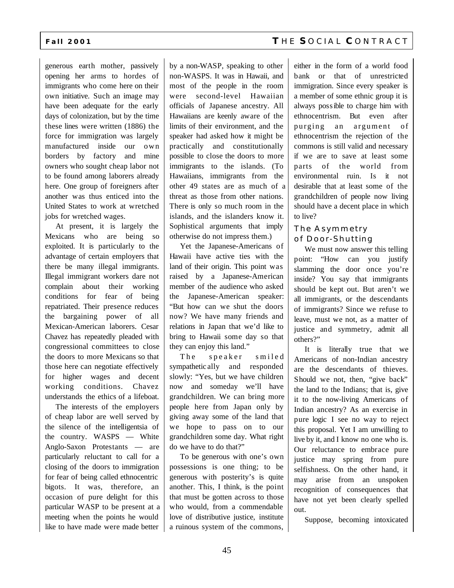generous earth mother, passively opening her arms to hordes of immigrants who come here on their own initiative. Such an image may have been adequate for the early days of colonization, but by the time these lines were written (1886) the force for immigration was largely manufactured inside our own borders by factory and mine owners who sought cheap labor not to be found among laborers already here. One group of foreigners after another was thus enticed into the United States to work at wretched jobs for wretched wages.

At present, it is largely the Mexicans who are being so exploited. It is particularly to the advantage of certain employers that there be many illegal immigrants. Illegal immigrant workers dare not complain about their working conditions for fear of being repatriated. Their presence reduces the bargaining power of all Mexican-American laborers. Cesar Chavez has repeatedly pleaded with congressional committees to close the doors to more Mexicans so that those here can negotiate effectively for higher wages and decent working conditions. Chavez understands the ethics of a lifeboat.

The interests of the employers of cheap labor are well served by the silence of the intelligentsia of the country. WASPS — White Anglo-Saxon Protestants — are particularly reluctant to call for a closing of the doors to immigration for fear of being called ethnocentric bigots. It was, therefore, an occasion of pure delight for this particular WASP to be present at a meeting when the points he would like to have made were made better

by a non-WASP, speaking to other non-WASPS. It was in Hawaii, and most of the people in the room were second-level Hawaiian officials of Japanese ancestry. All Hawaiians are keenly aware of the limits of their environment, and the speaker had asked how it might be practically and constitutionally possible to close the doors to more immigrants to the islands. (To Hawaiians, immigrants from the other 49 states are as much of a threat as those from other nations. There is only so much room in the islands, and the islanders know it. Sophistical arguments that imply otherwise do not impress them.)

Yet the Japanese-Americans of Hawaii have active ties with the land of their origin. This point was raised by a Japanese-American member of the audience who asked the Japanese-American speaker: "But how can we shut the doors now? We have many friends and relations in Japan that we'd like to bring to Hawaii some day so that they can enjoy this land."

The speaker smiled sympathetic ally and responded slowly: "Yes, but we have children now and someday we'll have grandchildren. We can bring more people here from Japan only by giving away some of the land that we hope to pass on to our grandchildren some day. What right do we have to do that?"

To be generous with one's own possessions is one thing; to be generous with posterity's is quite another. This, I think, is the point that must be gotten across to those who would, from a commendable love of distributive justice, institute a ruinous system of the commons, either in the form of a world food bank or that of unrestricted immigration. Since every speaker is a member of some ethnic group it is always possible to charge him with ethnocentrism. But even after purging an argument of ethnocentrism the rejection of the commons is still valid and necessary if we are to save at least some parts of the world from environmental ruin. Is it not desirable that at least some of the grandchildren of people now living should have a decent place in which to live?

### The Asymmetry of Door-Shutting

We must now answer this telling point: "How can you justify slamming the door once you're inside? You say that immigrants should be kept out. But aren't we all immigrants, or the descendants of immigrants? Since we refuse to leave, must we not, as a matter of justice and symmetry, admit all others?"

It is literally true that we Americans of non-Indian ancestry are the descendants of thieves. Should we not, then, "give back" the land to the Indians; that is, give it to the now-living Americans of Indian ancestry? As an exercise in pure logic I see no way to reject this proposal. Yet I am unwilling to live by it, and I know no one who is. Our reluctance to embrace pure justice may spring from pure selfishness. On the other hand, it may arise from an unspoken recognition of consequences that have not yet been clearly spelled out.

Suppose, becoming intoxicated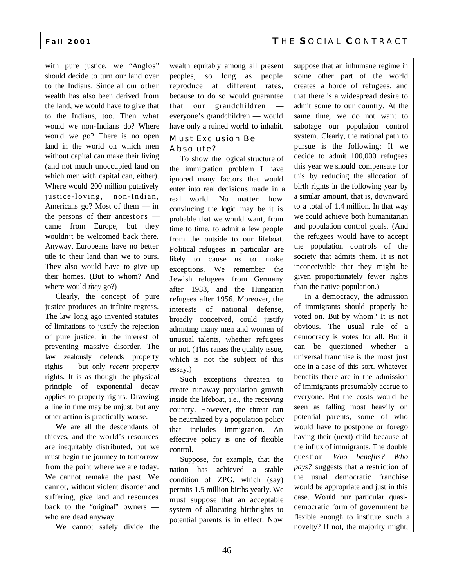with pure justice, we "Anglos" should decide to turn our land over to the Indians. Since all our other wealth has also been derived from the land, we would have to give that to the Indians, too. Then what would we non-Indians do? Where would we go? There is no open land in the world on which men without capital can make their living (and not much unoccupied land on which men with capital can, either). Where would 200 million putatively justice-loving, non-Indian, Americans go? Most of them — in the persons of their ancestors came from Europe, but they wouldn't be welcomed back there. Anyway, Europeans have no better title to their land than we to ours. They also would have to give up their homes. (But to whom? And where would *they* go?)

Clearly, the concept of pure justice produces an infinite regress. The law long ago invented statutes of limitations to justify the rejection of pure justice, in the interest of preventing massive disorder. The law zealously defends property rights — but only *recent* property rights. It is as though the physical principle of exponential decay applies to property rights. Drawing a line in time may be unjust, but any other action is practically worse.

We are all the descendants of thieves, and the world's resources are inequitably distributed, but we must begin the journey to tomorrow from the point where we are today. We cannot remake the past. We cannot, without violent disorder and suffering, give land and resources back to the "original" owners who are dead anyway.

We cannot safely divide the

wealth equitably among all present peoples, so long as people reproduce at different rates, because to do so would guarantee that our grandchildren everyone's grandchildren — would have only a ruined world to inhabit.

### Must Exclusion Be Absolute?

To show the logical structure of the immigration problem I have ignored many factors that would enter into real decisions made in a real world. No matter how convincing the logic may be it is probable that we would want, from time to time, to admit a few people from the outside to our lifeboat. Political refugees in particular are likely to cause us to make exceptions. We remember the Jewish refugees from Germany after 1933, and the Hungarian refugees after 1956. Moreover, the interests of national defense, broadly conceived, could justify admitting many men and women of unusual talents, whether refugees or not. (This raises the quality issue, which is not the subject of this essay.)

Such exceptions threaten to create runaway population growth inside the lifeboat, i.e., the receiving country. However, the threat can be neutralized by a population policy that includes immigration. An effective polic y is one of flexible control.

Suppose, for example, that the nation has achieved a stable condition of ZPG, which (say) permits 1.5 million births yearly. We must suppose that an acceptable system of allocating birthrights to potential parents is in effect. Now

**Fall 2001 T** HE **S** OCIAL **C** ONTRACT

suppose that an inhumane regime in some other part of the world creates a horde of refugees, and that there is a widespread desire to admit some to our country. At the same time, we do not want to sabotage our population control system. Clearly, the rational path to pursue is the following: If we decide to admit 100,000 refugees this year we should compensate for this by reducing the allocation of birth rights in the following year by a similar amount, that is, downward to a total of 1.4 million. In that way we could achieve both humanitarian and population control goals. (And the refugees would have to accept the population controls of the society that admits them. It is not inconceivable that they might be given proportionately fewer rights than the native population.)

In a democracy, the admission of immigrants should properly be voted on. But by whom? It is not obvious. The usual rule of a democracy is votes for all. But it can be questioned whether a universal franchise is the most just one in a case of this sort. Whatever benefits there are in the admission of immigrants presumably accrue to everyone. But the costs would be seen as falling most heavily on potential parents, some of who would have to postpone or forego having their (next) child because of the influx of immigrants. The double question *Who benefits? Who pays?* suggests that a restriction of the usual democratic franchise would be appropriate and just in this case. Would our particular quasidemocratic form of government be flexible enough to institute such a novelty? If not, the majority might,